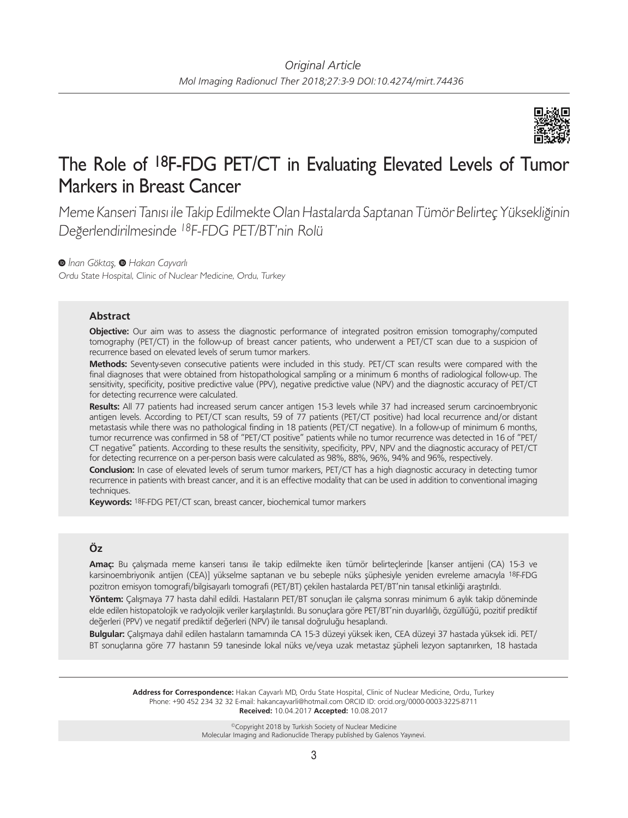

# The Role of 18F-FDG PET/CT in Evaluating Elevated Levels of Tumor Markers in Breast Cancer

Meme Kanseri Tanısı ile Takip Edilmekte Olan Hastalarda Saptanan Tümör Belirteç Yüksekliğinin Değerlendirilmesinde <sup>18</sup>F-FDG PET/BT'nin Rolü

*İnan Göktaş,Hakan Cayvarlı*

Ordu State Hospital, Clinic of Nuclear Medicine, Ordu, Turkey

# **Abstract**

**Objective:** Our aim was to assess the diagnostic performance of integrated positron emission tomography/computed tomography (PET/CT) in the follow-up of breast cancer patients, who underwent a PET/CT scan due to a suspicion of recurrence based on elevated levels of serum tumor markers.

**Methods:** Seventy-seven consecutive patients were included in this study. PET/CT scan results were compared with the final diagnoses that were obtained from histopathological sampling or a minimum 6 months of radiological follow-up. The sensitivity, specificity, positive predictive value (PPV), negative predictive value (NPV) and the diagnostic accuracy of PET/CT for detecting recurrence were calculated.

**Results:** All 77 patients had increased serum cancer antigen 15-3 levels while 37 had increased serum carcinoembryonic antigen levels. According to PET/CT scan results, 59 of 77 patients (PET/CT positive) had local recurrence and/or distant metastasis while there was no pathological finding in 18 patients (PET/CT negative). In a follow-up of minimum 6 months, tumor recurrence was confirmed in 58 of "PET/CT positive" patients while no tumor recurrence was detected in 16 of "PET/ CT negative" patients. According to these results the sensitivity, specificity, PPV, NPV and the diagnostic accuracy of PET/CT for detecting recurrence on a per-person basis were calculated as 98%, 88%, 96%, 94% and 96%, respectively.

**Conclusion:** In case of elevated levels of serum tumor markers, PET/CT has a high diagnostic accuracy in detecting tumor recurrence in patients with breast cancer, and it is an effective modality that can be used in addition to conventional imaging techniques.

**Keywords:** 18F-FDG PET/CT scan, breast cancer, biochemical tumor markers

# **Öz**

**Amaç:** Bu çalışmada meme kanseri tanısı ile takip edilmekte iken tümör belirteçlerinde [kanser antijeni (CA) 15-3 ve karsinoembriyonik antijen (CEA)] yükselme saptanan ve bu sebeple nüks şüphesiyle yeniden evreleme amacıyla 18F-FDG pozitron emisyon tomografi/bilgisayarlı tomografi (PET/BT) çekilen hastalarda PET/BT'nin tanısal etkinliği araştırıldı.

**Yöntem:** Çalışmaya 77 hasta dahil edildi. Hastaların PET/BT sonuçları ile çalışma sonrası minimum 6 aylık takip döneminde elde edilen histopatolojik ve radyolojik veriler karşılaştırıldı. Bu sonuçlara göre PET/BT'nin duyarlılığı, özgüllüğü, pozitif prediktif değerleri (PPV) ve negatif prediktif değerleri (NPV) ile tanısal doğruluğu hesaplandı.

**Bulgular:** Çalışmaya dahil edilen hastaların tamamında CA 15-3 düzeyi yüksek iken, CEA düzeyi 37 hastada yüksek idi. PET/ BT sonuçlarına göre 77 hastanın 59 tanesinde lokal nüks ve/veya uzak metastaz şüpheli lezyon saptanırken, 18 hastada

**Address for Correspondence:** Hakan Cayvarlı MD, Ordu State Hospital, Clinic of Nuclear Medicine, Ordu, Turkey Phone: +90 452 234 32 32 E-mail: hakancayvarli@hotmail.com ORCID ID: orcid.org/0000-0003-3225-8711 **Received:** 10.04.2017 **Accepted:** 10.08.2017

> ©Copyright 2018 by Turkish Society of Nuclear Medicine Molecular Imaging and Radionuclide Therapy published by Galenos Yayınevi.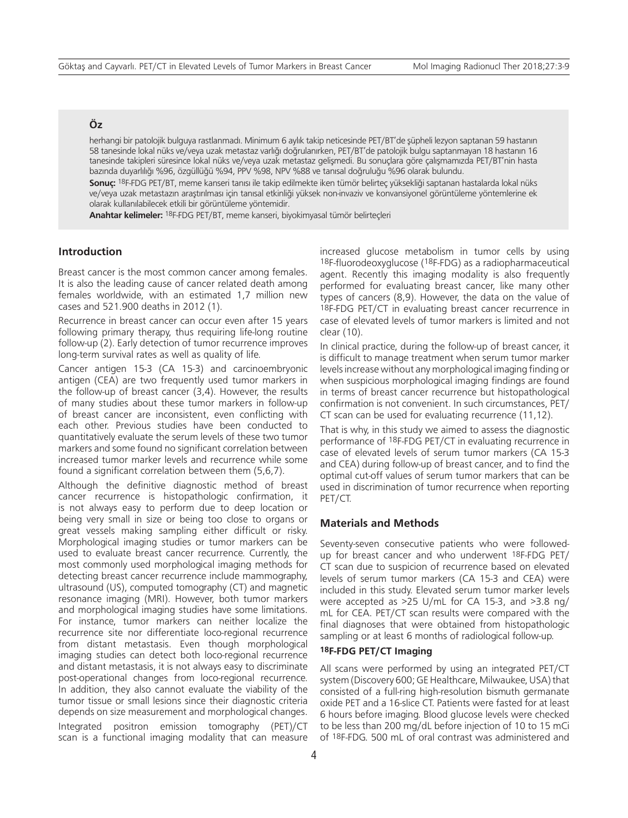# **Öz**

herhangi bir patolojik bulguya rastlanmadı. Minimum 6 aylık takip neticesinde PET/BT'de şüpheli lezyon saptanan 59 hastanın 58 tanesinde lokal nüks ve/veya uzak metastaz varlığı doğrulanırken, PET/BT'de patolojik bulgu saptanmayan 18 hastanın 16 tanesinde takipleri süresince lokal nüks ve/veya uzak metastaz gelişmedi. Bu sonuçlara göre çalışmamızda PET/BT'nin hasta bazında duyarlılığı %96, özgüllüğü %94, PPV %98, NPV %88 ve tanısal doğruluğu %96 olarak bulundu.

**Sonuç:** 18F-FDG PET/BT, meme kanseri tanısı ile takip edilmekte iken tümör belirteç yüksekliği saptanan hastalarda lokal nüks ve/veya uzak metastazın araştırılması için tanısal etkinliği yüksek non-invaziv ve konvansiyonel görüntüleme yöntemlerine ek olarak kullanılabilecek etkili bir görüntüleme yöntemidir.

**Anahtar kelimeler:** 18F-FDG PET/BT, meme kanseri, biyokimyasal tümör belirteçleri

## **Introduction**

Breast cancer is the most common cancer among females. It is also the leading cause of cancer related death among females worldwide, with an estimated 1,7 million new cases and 521.900 deaths in 2012 (1).

Recurrence in breast cancer can occur even after 15 years following primary therapy, thus requiring life-long routine follow-up (2). Early detection of tumor recurrence improves long-term survival rates as well as quality of life.

Cancer antigen 15-3 (CA 15-3) and carcinoembryonic antigen (CEA) are two frequently used tumor markers in the follow-up of breast cancer (3,4). However, the results of many studies about these tumor markers in follow-up of breast cancer are inconsistent, even conflicting with each other. Previous studies have been conducted to quantitatively evaluate the serum levels of these two tumor markers and some found no significant correlation between increased tumor marker levels and recurrence while some found a significant correlation between them (5,6,7).

Although the definitive diagnostic method of breast cancer recurrence is histopathologic confirmation, it is not always easy to perform due to deep location or being very small in size or being too close to organs or great vessels making sampling either difficult or risky. Morphological imaging studies or tumor markers can be used to evaluate breast cancer recurrence. Currently, the most commonly used morphological imaging methods for detecting breast cancer recurrence include mammography, ultrasound (US), computed tomography (CT) and magnetic resonance imaging (MRI). However, both tumor markers and morphological imaging studies have some limitations. For instance, tumor markers can neither localize the recurrence site nor differentiate loco-regional recurrence from distant metastasis. Even though morphological imaging studies can detect both loco-regional recurrence and distant metastasis, it is not always easy to discriminate post-operational changes from loco-regional recurrence. In addition, they also cannot evaluate the viability of the tumor tissue or small lesions since their diagnostic criteria depends on size measurement and morphological changes. Integrated positron emission tomography (PET)/CT scan is a functional imaging modality that can measure

increased glucose metabolism in tumor cells by using 18F-fluorodeoxyglucose (18F-FDG) as a radiopharmaceutical agent. Recently this imaging modality is also frequently performed for evaluating breast cancer, like many other types of cancers (8,9). However, the data on the value of 18F-FDG PET/CT in evaluating breast cancer recurrence in case of elevated levels of tumor markers is limited and not clear (10).

In clinical practice, during the follow-up of breast cancer, it is difficult to manage treatment when serum tumor marker levels increase without any morphological imaging finding or when suspicious morphological imaging findings are found in terms of breast cancer recurrence but histopathological confirmation is not convenient. In such circumstances, PET/ CT scan can be used for evaluating recurrence (11,12).

That is why, in this study we aimed to assess the diagnostic performance of 18F-FDG PET/CT in evaluating recurrence in case of elevated levels of serum tumor markers (CA 15-3 and CEA) during follow-up of breast cancer, and to find the optimal cut-off values of serum tumor markers that can be used in discrimination of tumor recurrence when reporting PET/CT.

#### **Materials and Methods**

Seventy-seven consecutive patients who were followedup for breast cancer and who underwent 18F-FDG PET/ CT scan due to suspicion of recurrence based on elevated levels of serum tumor markers (CA 15-3 and CEA) were included in this study. Elevated serum tumor marker levels were accepted as >25 U/mL for CA 15-3, and >3.8 ng/ mL for CEA. PET/CT scan results were compared with the final diagnoses that were obtained from histopathologic sampling or at least 6 months of radiological follow-up.

#### **18F-FDG PET/CT Imaging**

All scans were performed by using an integrated PET/CT system (Discovery 600; GE Healthcare, Milwaukee, USA) that consisted of a full-ring high-resolution bismuth germanate oxide PET and a 16-slice CT. Patients were fasted for at least 6 hours before imaging. Blood glucose levels were checked to be less than 200 mg/dL before injection of 10 to 15 mCi of 18F-FDG. 500 mL of oral contrast was administered and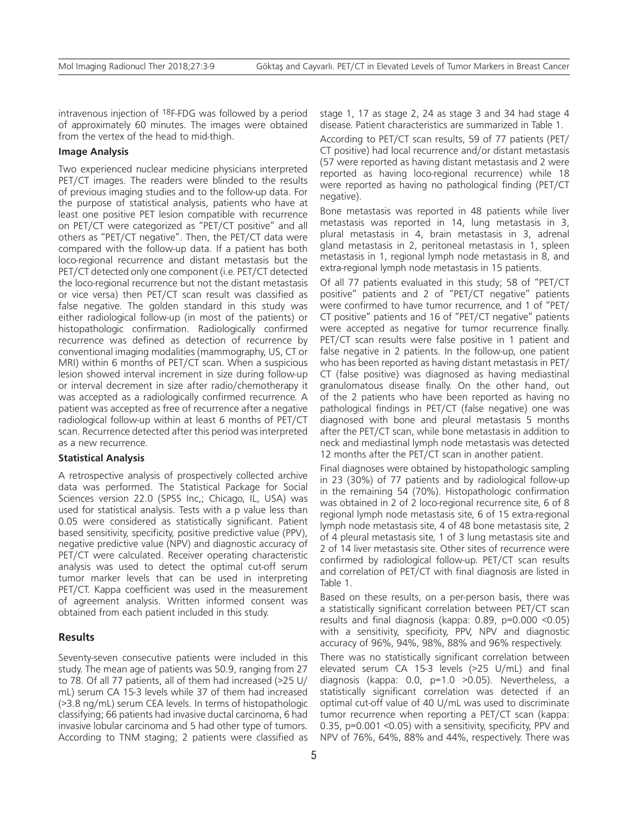intravenous injection of 18F-FDG was followed by a period of approximately 60 minutes. The images were obtained from the vertex of the head to mid-thigh.

#### **Image Analysis**

Two experienced nuclear medicine physicians interpreted PET/CT images. The readers were blinded to the results of previous imaging studies and to the follow-up data. For the purpose of statistical analysis, patients who have at least one positive PET lesion compatible with recurrence on PET/CT were categorized as "PET/CT positive" and all others as "PET/CT negative". Then, the PET/CT data were compared with the follow-up data. If a patient has both loco-regional recurrence and distant metastasis but the PET/CT detected only one component (i.e. PET/CT detected the loco-regional recurrence but not the distant metastasis or vice versa) then PET/CT scan result was classified as false negative. The golden standard in this study was either radiological follow-up (in most of the patients) or histopathologic confirmation. Radiologically confirmed recurrence was defined as detection of recurrence by conventional imaging modalities (mammography, US, CT or MRI) within 6 months of PET/CT scan. When a suspicious lesion showed interval increment in size during follow-up or interval decrement in size after radio/chemotherapy it was accepted as a radiologically confirmed recurrence. A patient was accepted as free of recurrence after a negative radiological follow-up within at least 6 months of PET/CT scan. Recurrence detected after this period was interpreted as a new recurrence.

### **Statistical Analysis**

A retrospective analysis of prospectively collected archive data was performed. The Statistical Package for Social Sciences version 22.0 (SPSS Inc,; Chicago, IL, USA) was used for statistical analysis. Tests with a p value less than 0.05 were considered as statistically significant. Patient based sensitivity, specificity, positive predictive value (PPV), negative predictive value (NPV) and diagnostic accuracy of PET/CT were calculated. Receiver operating characteristic analysis was used to detect the optimal cut-off serum tumor marker levels that can be used in interpreting PET/CT. Kappa coefficient was used in the measurement of agreement analysis. Written informed consent was obtained from each patient included in this study.

## **Results**

Seventy-seven consecutive patients were included in this study. The mean age of patients was 50.9, ranging from 27 to 78. Of all 77 patients, all of them had increased (>25 U/ mL) serum CA 15-3 levels while 37 of them had increased (>3.8 ng/mL) serum CEA levels. In terms of histopathologic classifying; 66 patients had invasive ductal carcinoma, 6 had invasive lobular carcinoma and 5 had other type of tumors. According to TNM staging; 2 patients were classified as stage 1, 17 as stage 2, 24 as stage 3 and 34 had stage 4 disease. Patient characteristics are summarized in Table 1.

According to PET/CT scan results, 59 of 77 patients (PET/ CT positive) had local recurrence and/or distant metastasis (57 were reported as having distant metastasis and 2 were reported as having loco-regional recurrence) while 18 were reported as having no pathological finding (PET/CT negative).

Bone metastasis was reported in 48 patients while liver metastasis was reported in 14, lung metastasis in 3, plural metastasis in 4, brain metastasis in 3, adrenal gland metastasis in 2, peritoneal metastasis in 1, spleen metastasis in 1, regional lymph node metastasis in 8, and extra-regional lymph node metastasis in 15 patients.

Of all 77 patients evaluated in this study; 58 of "PET/CT positive" patients and 2 of "PET/CT negative" patients were confirmed to have tumor recurrence, and 1 of "PET/ CT positive" patients and 16 of "PET/CT negative" patients were accepted as negative for tumor recurrence finally. PET/CT scan results were false positive in 1 patient and false negative in 2 patients. In the follow-up, one patient who has been reported as having distant metastasis in PET/ CT (false positive) was diagnosed as having mediastinal granulomatous disease finally. On the other hand, out of the 2 patients who have been reported as having no pathological findings in PET/CT (false negative) one was diagnosed with bone and pleural metastasis 5 months after the PET/CT scan, while bone metastasis in addition to neck and mediastinal lymph node metastasis was detected 12 months after the PET/CT scan in another patient.

Final diagnoses were obtained by histopathologic sampling in 23 (30%) of 77 patients and by radiological follow-up in the remaining 54 (70%). Histopathologic confirmation was obtained in 2 of 2 loco-regional recurrence site, 6 of 8 regional lymph node metastasis site, 6 of 15 extra-regional lymph node metastasis site, 4 of 48 bone metastasis site, 2 of 4 pleural metastasis site, 1 of 3 lung metastasis site and 2 of 14 liver metastasis site. Other sites of recurrence were confirmed by radiological follow-up. PET/CT scan results and correlation of PET/CT with final diagnosis are listed in Table 1.

Based on these results, on a per-person basis, there was a statistically significant correlation between PET/CT scan results and final diagnosis (kappa: 0.89, p=0.000 <0.05) with a sensitivity, specificity, PPV, NPV and diagnostic accuracy of 96%, 94%, 98%, 88% and 96% respectively.

There was no statistically significant correlation between elevated serum CA 15-3 levels (>25 U/mL) and final diagnosis (kappa: 0.0, p=1.0 >0.05). Nevertheless, a statistically significant correlation was detected if an optimal cut-off value of 40 U/mL was used to discriminate tumor recurrence when reporting a PET/CT scan (kappa: 0.35, p=0.001 <0.05) with a sensitivity, specificity, PPV and NPV of 76%, 64%, 88% and 44%, respectively. There was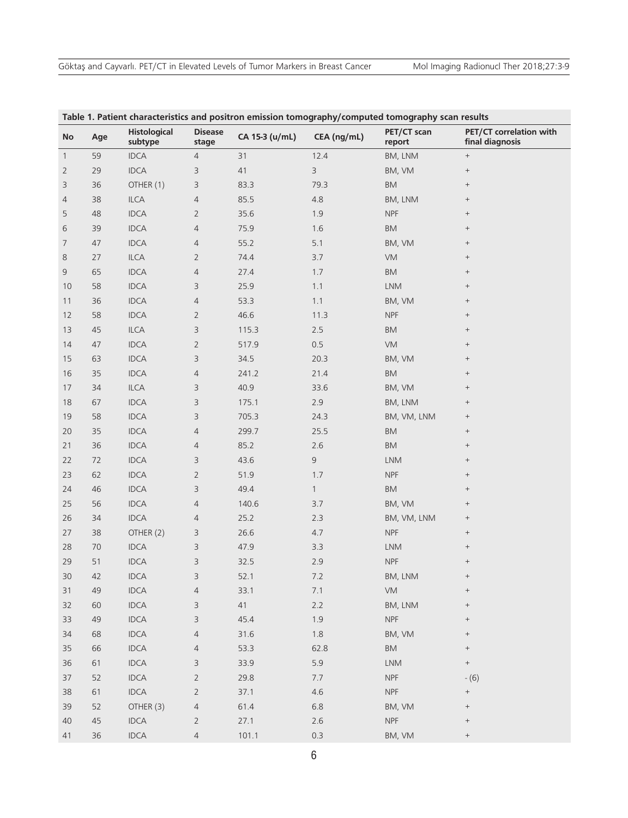| Table 1. Patient characteristics and positron emission tomography/computed tomography scan results |     |                                |                         |                |                |                       |                                            |  |  |
|----------------------------------------------------------------------------------------------------|-----|--------------------------------|-------------------------|----------------|----------------|-----------------------|--------------------------------------------|--|--|
| No                                                                                                 | Age | <b>Histological</b><br>subtype | <b>Disease</b><br>stage | CA 15-3 (u/mL) | CEA (ng/mL)    | PET/CT scan<br>report | PET/CT correlation with<br>final diagnosis |  |  |
| $\mathbf{1}$                                                                                       | 59  | <b>IDCA</b>                    | 4                       | 31             | 12.4           | BM, LNM               | $^+$                                       |  |  |
| $\overline{2}$                                                                                     | 29  | <b>IDCA</b>                    | 3                       | 41             | $\overline{3}$ | BM, VM                | $^{+}$                                     |  |  |
| 3                                                                                                  | 36  | OTHER (1)                      | 3                       | 83.3           | 79.3           | BM                    | $^+$                                       |  |  |
| 4                                                                                                  | 38  | <b>ILCA</b>                    | 4                       | 85.5           | 4.8            | BM, LNM               | $\! + \!$                                  |  |  |
| 5                                                                                                  | 48  | <b>IDCA</b>                    | $\overline{2}$          | 35.6           | 1.9            | <b>NPF</b>            | $\qquad \qquad +$                          |  |  |
| 6                                                                                                  | 39  | <b>IDCA</b>                    | $\overline{4}$          | 75.9           | 1.6            | BM                    | $\! +$                                     |  |  |
| 7                                                                                                  | 47  | <b>IDCA</b>                    | $\overline{4}$          | 55.2           | 5.1            | BM, VM                | $\qquad \qquad +$                          |  |  |
| 8                                                                                                  | 27  | ILCA                           | $\overline{2}$          | 74.4           | 3.7            | VM                    | $\qquad \qquad +$                          |  |  |
| 9                                                                                                  | 65  | <b>IDCA</b>                    | $\overline{4}$          | 27.4           | 1.7            | BM                    | $^+$                                       |  |  |
| 10                                                                                                 | 58  | <b>IDCA</b>                    | 3                       | 25.9           | 1.1            | <b>LNM</b>            | $\! +$                                     |  |  |
| 11                                                                                                 | 36  | <b>IDCA</b>                    | $\overline{4}$          | 53.3           | 1.1            | BM, VM                | $\! + \!$                                  |  |  |
| 12                                                                                                 | 58  | <b>IDCA</b>                    | $\overline{2}$          | 46.6           | 11.3           | <b>NPF</b>            | $^+$                                       |  |  |
| 13                                                                                                 | 45  | <b>ILCA</b>                    | 3                       | 115.3          | 2.5            | BM                    | $\! +$                                     |  |  |
| 14                                                                                                 | 47  | <b>IDCA</b>                    | $\overline{2}$          | 517.9          | 0.5            | VM                    | $^+$                                       |  |  |
| 15                                                                                                 | 63  | <b>IDCA</b>                    | 3                       | 34.5           | 20.3           | BM, VM                | $\qquad \qquad +$                          |  |  |
| 16                                                                                                 | 35  | <b>IDCA</b>                    | $\overline{4}$          | 241.2          | 21.4           | <b>BM</b>             | $\qquad \qquad +$                          |  |  |
| 17                                                                                                 | 34  | ILCA                           | 3                       | 40.9           | 33.6           | BM, VM                | $\! +$                                     |  |  |
| 18                                                                                                 | 67  | <b>IDCA</b>                    | 3                       | 175.1          | 2.9            | BM, LNM               | $\qquad \qquad +$                          |  |  |
| 19                                                                                                 | 58  | <b>IDCA</b>                    | 3                       | 705.3          | 24.3           | BM, VM, LNM           | $^{+}$                                     |  |  |
| 20                                                                                                 | 35  | <b>IDCA</b>                    | $\overline{4}$          | 299.7          | 25.5           | <b>BM</b>             | $\! +$                                     |  |  |
| 21                                                                                                 | 36  | <b>IDCA</b>                    | 4                       | 85.2           | 2.6            | BM                    | $\! +$                                     |  |  |
| 22                                                                                                 | 72  | <b>IDCA</b>                    | 3                       | 43.6           | $\mathsf 9$    | <b>LNM</b>            | $\! + \!$                                  |  |  |
| 23                                                                                                 | 62  | <b>IDCA</b>                    | $\overline{2}$          | 51.9           | 1.7            | <b>NPF</b>            | $^+$                                       |  |  |
| 24                                                                                                 | 46  | <b>IDCA</b>                    | 3                       | 49.4           | $\mathbf{1}$   | BM                    | $\! +$                                     |  |  |
| 25                                                                                                 | 56  | <b>IDCA</b>                    | $\overline{4}$          | 140.6          | 3.7            | BM, VM                | $^{+}$                                     |  |  |
| 26                                                                                                 | 34  | <b>IDCA</b>                    | 4                       | 25.2           | 2.3            | BM, VM, LNM           | $\qquad \qquad +$                          |  |  |
| 27                                                                                                 | 38  | OTHER (2)                      | 3                       | 26.6           | 4.7            | <b>NPF</b>            | $\! +$                                     |  |  |
| 28                                                                                                 | 70  | <b>IDCA</b>                    | 3                       | 47.9           | 3.3            | <b>LNM</b>            | $^{+}$                                     |  |  |
| 29                                                                                                 | 51  | <b>IDCA</b>                    | 3                       | 32.5           | 2.9            | <b>NPF</b>            | $\! +$                                     |  |  |
| $30$                                                                                               | 42  | <b>IDCA</b>                    | 3                       | 52.1           | 7.2            | BM, LNM               | $\! +$                                     |  |  |
| 31                                                                                                 | 49  | <b>IDCA</b>                    | 4                       | 33.1           | 7.1            | <b>VM</b>             | $\! + \!$                                  |  |  |
| 32                                                                                                 | 60  | <b>IDCA</b>                    | 3                       | 41             | $2.2$          | BM, LNM               | $^{+}$                                     |  |  |
| 33                                                                                                 | 49  | <b>IDCA</b>                    | 3                       | 45.4           | 1.9            | <b>NPF</b>            | $\! +$                                     |  |  |
| 34                                                                                                 | 68  | IDCA                           | $\overline{4}$          | 31.6           | $1.8\,$        | BM, VM                | $\! +$                                     |  |  |
| 35                                                                                                 | 66  | IDCA                           | 4                       | 53.3           | 62.8           | BM                    | $^{+}$                                     |  |  |
| 36                                                                                                 | 61  | IDCA                           | 3                       | 33.9           | 5.9            | <b>LNM</b>            | $^+$                                       |  |  |
| 37                                                                                                 | 52  | IDCA                           | $\overline{2}$          | 29.8           | 7.7            | <b>NPF</b>            | $-(6)$                                     |  |  |
| 38                                                                                                 | 61  | <b>IDCA</b>                    | $\overline{2}$          | 37.1           | 4.6            | <b>NPF</b>            | $^{+}$                                     |  |  |
| 39                                                                                                 | 52  | OTHER (3)                      | 4                       | 61.4           | 6.8            | BM, VM                | $^{+}$                                     |  |  |
| 40                                                                                                 | 45  | <b>IDCA</b>                    | $\overline{2}$          | 27.1           | $2.6\,$        | <b>NPF</b>            | $\! +$                                     |  |  |
| 41                                                                                                 | 36  | IDCA                           | $\overline{4}$          | 101.1          | 0.3            | BM, VM                | $^{+}$                                     |  |  |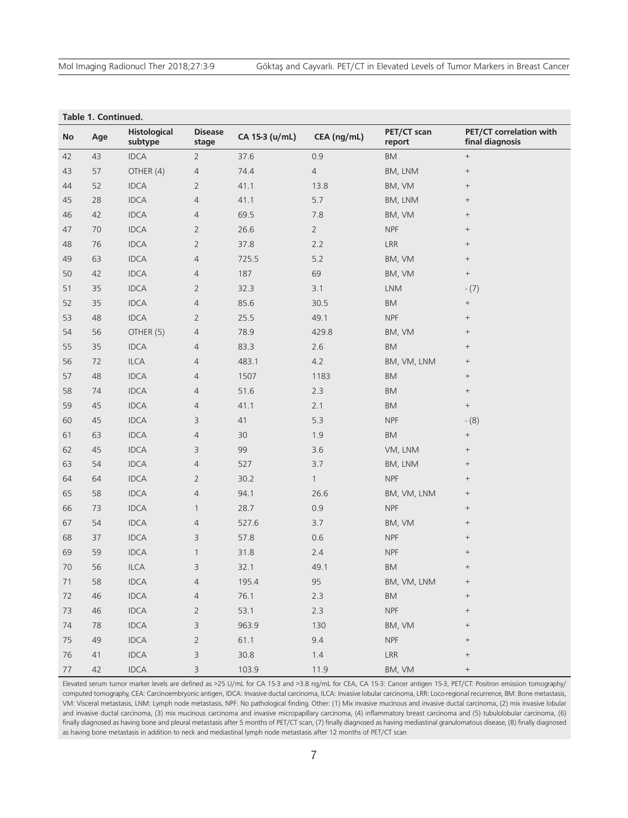| Table 1. Continued. |     |                                |                         |                |                |                             |                                            |  |  |  |
|---------------------|-----|--------------------------------|-------------------------|----------------|----------------|-----------------------------|--------------------------------------------|--|--|--|
| <b>No</b>           | Age | <b>Histological</b><br>subtype | <b>Disease</b><br>stage | CA 15-3 (u/mL) | CEA (ng/mL)    | PET/CT scan<br>report       | PET/CT correlation with<br>final diagnosis |  |  |  |
| 42                  | 43  | <b>IDCA</b>                    | $\overline{2}$          | 37.6           | 0.9            | BM                          | $^+$                                       |  |  |  |
| 43                  | 57  | OTHER (4)                      | 4                       | 74.4           | $\overline{4}$ | BM, LNM                     | $^{+}$                                     |  |  |  |
| 44                  | 52  | <b>IDCA</b>                    | $\overline{2}$          | 41.1           | 13.8           | BM, VM                      | $^{+}$                                     |  |  |  |
| 45                  | 28  | <b>IDCA</b>                    | $\overline{4}$          | 41.1           | $5.7$          | BM, LNM                     | $^+$                                       |  |  |  |
| 46                  | 42  | <b>IDCA</b>                    | 4                       | 69.5           | $7.8$          | BM, VM                      | $\qquad \qquad +$                          |  |  |  |
| 47                  | 70  | <b>IDCA</b>                    | $\overline{2}$          | 26.6           | $\overline{2}$ | <b>NPF</b>                  | $\qquad \qquad +$                          |  |  |  |
| 48                  | 76  | <b>IDCA</b>                    | $\overline{2}$          | 37.8           | 2.2            | LRR                         | $\qquad \qquad +$                          |  |  |  |
| 49                  | 63  | <b>IDCA</b>                    | $\overline{4}$          | 725.5          | 5.2            | BM, VM                      | $\qquad \qquad +$                          |  |  |  |
| 50                  | 42  | <b>IDCA</b>                    | 4                       | 187            | 69             | BM, VM                      | $^+$                                       |  |  |  |
| 51                  | 35  | <b>IDCA</b>                    | $\overline{2}$          | 32.3           | 3.1            | <b>LNM</b>                  | $- (7)$                                    |  |  |  |
| 52                  | 35  | <b>IDCA</b>                    | $\overline{4}$          | 85.6           | 30.5           | BM                          | $\qquad \qquad +$                          |  |  |  |
| 53                  | 48  | <b>IDCA</b>                    | $\overline{2}$          | 25.5           | 49.1           | <b>NPF</b>                  | $^+$                                       |  |  |  |
| 54                  | 56  | OTHER (5)                      | 4                       | 78.9           | 429.8          | BM, VM                      | $^{+}$                                     |  |  |  |
| 55                  | 35  | <b>IDCA</b>                    | 4                       | 83.3           | 2.6            | BM                          | $^+$                                       |  |  |  |
| 56                  | 72  | ILCA                           | 4                       | 483.1          | 4.2            | BM, VM, LNM                 | $^{+}$                                     |  |  |  |
| 57                  | 48  | <b>IDCA</b>                    | 4                       | 1507           | 1183           | <b>BM</b>                   | $\qquad \qquad +$                          |  |  |  |
| 58                  | 74  | <b>IDCA</b>                    | 4                       | 51.6           | 2.3            | BM                          | $\qquad \qquad +$                          |  |  |  |
| 59                  | 45  | <b>IDCA</b>                    | 4                       | 41.1           | 2.1            | BM                          | $^+$                                       |  |  |  |
| 60                  | 45  | <b>IDCA</b>                    | 3                       | 41             | 5.3            | <b>NPF</b>                  | $- (8)$                                    |  |  |  |
| 61                  | 63  | <b>IDCA</b>                    | $\overline{4}$          | $30\,$         | 1.9            | BM                          | $^+$                                       |  |  |  |
| 62                  | 45  | <b>IDCA</b>                    | 3                       | 99             | 3.6            | VM, LNM                     | $\qquad \qquad +$                          |  |  |  |
| 63                  | 54  | <b>IDCA</b>                    | $\overline{4}$          | 527            | 3.7            | BM, LNM                     | $+$                                        |  |  |  |
| 64                  | 64  | <b>IDCA</b>                    | $\overline{2}$          | 30.2           | $\mathbf{1}$   | <b>NPF</b>                  | $\qquad \qquad +$                          |  |  |  |
| 65                  | 58  | <b>IDCA</b>                    | $\overline{4}$          | 94.1           | 26.6           | BM, VM, LNM                 | $\qquad \qquad +$                          |  |  |  |
| 66                  | 73  | <b>IDCA</b>                    | $\mathbf{1}$            | 28.7           | 0.9            | <b>NPF</b>                  | $\qquad \qquad +$                          |  |  |  |
| 67                  | 54  | <b>IDCA</b>                    | 4                       | 527.6          | 3.7            | BM, VM                      | $+$                                        |  |  |  |
| 68                  | 37  | <b>IDCA</b>                    | 3                       | 57.8           | 0.6            | <b>NPF</b>                  | $\qquad \qquad +$                          |  |  |  |
| 69                  | 59  | <b>IDCA</b>                    | $\mathbf{1}$            | 31.8           | 2.4            | <b>NPF</b>                  | $\qquad \qquad +$                          |  |  |  |
| 70                  | 56  | ILCA                           | 3                       | 32.1           | 49.1           | BM                          | $\qquad \qquad +$                          |  |  |  |
| 71                  | 58  | IDCA                           | 4                       | 195.4          | 95             | BM, VM, LNM                 | $+$                                        |  |  |  |
| 72                  | 46  | IDCA                           | 4                       | 76.1           | 2.3            | BM                          | $^{+}$                                     |  |  |  |
| 73                  | 46  | IDCA                           | $\overline{2}$          | 53.1           | 2.3            | <b>NPF</b>                  | $\! +$                                     |  |  |  |
| 74                  | 78  | IDCA                           | 3                       | 963.9          | 130            | BM, VM                      | $^+$                                       |  |  |  |
| 75                  | 49  | IDCA                           | $\overline{2}$          | 61.1           | 9.4            | <b>NPF</b>                  | $+$                                        |  |  |  |
| 76                  | 41  | IDCA                           | 3                       | $30.8$         | $1.4\,$        | $\ensuremath{\mathsf{LRR}}$ | $^+$                                       |  |  |  |
| $77\,$              | 42  | IDCA                           | 3                       | 103.9          | 11.9           | BM, VM                      | $+$                                        |  |  |  |

Elevated serum tumor marker levels are defined as >25 U/mL for CA 15-3 and >3.8 ng/mL for CEA, CA 15-3: Cancer antigen 15-3, PET/CT: Positron emission tomography/ computed tomography, CEA: Carcinoembryonic antigen, IDCA: Invasive ductal carcinoma, ILCA: Invasive lobular carcinoma, LRR: Loco-regional recurrence, BM: Bone metastasis, VM: Visceral metastasis, LNM: Lymph node metastasis, NPF: No pathological finding. Other: (1) Mix invasive mucinous and invasive ductal carcinoma, (2) mix invasive lobular and invasive ductal carcinoma, (3) mix mucinous carcinoma and invasive micropapillary carcinoma, (4) inflammatory breast carcinoma and (5) tubulolobular carcinoma, (6) finally diagnosed as having bone and pleural metastasis after 5 months of PET/CT scan, (7) finally diagnosed as having mediastinal granulomatous disease, (8) finally diagnosed as having bone metastasis in addition to neck and mediastinal lymph node metastasis after 12 months of PET/CT scan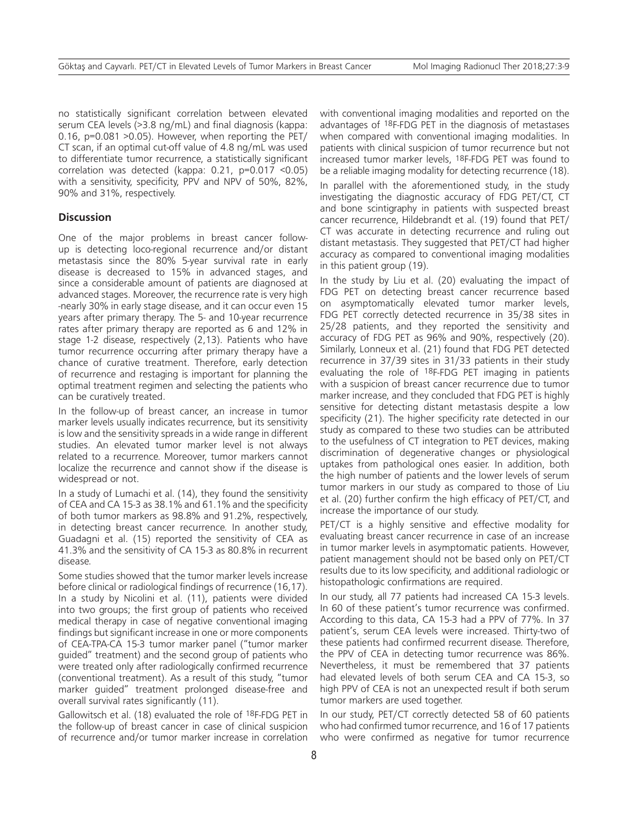no statistically significant correlation between elevated serum CEA levels (>3.8 ng/mL) and final diagnosis (kappa: 0.16, p=0.081 >0.05). However, when reporting the PET/ CT scan, if an optimal cut-off value of 4.8 ng/mL was used to differentiate tumor recurrence, a statistically significant correlation was detected (kappa: 0.21, p=0.017 <0.05) with a sensitivity, specificity, PPV and NPV of 50%, 82%, 90% and 31%, respectively.

#### **Discussion**

One of the major problems in breast cancer followup is detecting loco-regional recurrence and/or distant metastasis since the 80% 5-year survival rate in early disease is decreased to 15% in advanced stages, and since a considerable amount of patients are diagnosed at advanced stages. Moreover, the recurrence rate is very high -nearly 30% in early stage disease, and it can occur even 15 years after primary therapy. The 5- and 10-year recurrence rates after primary therapy are reported as 6 and 12% in stage 1-2 disease, respectively (2,13). Patients who have tumor recurrence occurring after primary therapy have a chance of curative treatment. Therefore, early detection of recurrence and restaging is important for planning the optimal treatment regimen and selecting the patients who can be curatively treated.

In the follow-up of breast cancer, an increase in tumor marker levels usually indicates recurrence, but its sensitivity is low and the sensitivity spreads in a wide range in different studies. An elevated tumor marker level is not always related to a recurrence. Moreover, tumor markers cannot localize the recurrence and cannot show if the disease is widespread or not.

In a study of Lumachi et al. (14), they found the sensitivity of CEA and CA 15-3 as 38.1% and 61.1% and the specificity of both tumor markers as 98.8% and 91.2%, respectively, in detecting breast cancer recurrence. In another study, Guadagni et al. (15) reported the sensitivity of CEA as 41.3% and the sensitivity of CA 15-3 as 80.8% in recurrent disease.

Some studies showed that the tumor marker levels increase before clinical or radiological findings of recurrence (16,17). In a study by Nicolini et al. (11), patients were divided into two groups; the first group of patients who received medical therapy in case of negative conventional imaging findings but significant increase in one or more components of CEA-TPA-CA 15-3 tumor marker panel ("tumor marker guided" treatment) and the second group of patients who were treated only after radiologically confirmed recurrence (conventional treatment). As a result of this study, "tumor marker guided" treatment prolonged disease-free and overall survival rates significantly (11).

Gallowitsch et al. (18) evaluated the role of 18F-FDG PET in the follow-up of breast cancer in case of clinical suspicion of recurrence and/or tumor marker increase in correlation with conventional imaging modalities and reported on the advantages of 18F-FDG PET in the diagnosis of metastases when compared with conventional imaging modalities. In patients with clinical suspicion of tumor recurrence but not increased tumor marker levels, 18F-FDG PET was found to be a reliable imaging modality for detecting recurrence (18).

In parallel with the aforementioned study, in the study investigating the diagnostic accuracy of FDG PET/CT, CT and bone scintigraphy in patients with suspected breast cancer recurrence, Hildebrandt et al. (19) found that PET/ CT was accurate in detecting recurrence and ruling out distant metastasis. They suggested that PET/CT had higher accuracy as compared to conventional imaging modalities in this patient group (19).

In the study by Liu et al. (20) evaluating the impact of FDG PET on detecting breast cancer recurrence based on asymptomatically elevated tumor marker levels, FDG PET correctly detected recurrence in 35/38 sites in 25/28 patients, and they reported the sensitivity and accuracy of FDG PET as 96% and 90%, respectively (20). Similarly, Lonneux et al. (21) found that FDG PET detected recurrence in 37/39 sites in 31/33 patients in their study evaluating the role of 18F-FDG PET imaging in patients with a suspicion of breast cancer recurrence due to tumor marker increase, and they concluded that FDG PET is highly sensitive for detecting distant metastasis despite a low specificity (21). The higher specificity rate detected in our study as compared to these two studies can be attributed to the usefulness of CT integration to PET devices, making discrimination of degenerative changes or physiological uptakes from pathological ones easier. In addition, both the high number of patients and the lower levels of serum tumor markers in our study as compared to those of Liu et al. (20) further confirm the high efficacy of PET/CT, and increase the importance of our study.

PET/CT is a highly sensitive and effective modality for evaluating breast cancer recurrence in case of an increase in tumor marker levels in asymptomatic patients. However, patient management should not be based only on PET/CT results due to its low specificity, and additional radiologic or histopathologic confirmations are required.

In our study, all 77 patients had increased CA 15-3 levels. In 60 of these patient's tumor recurrence was confirmed. According to this data, CA 15-3 had a PPV of 77%. In 37 patient's, serum CEA levels were increased. Thirty-two of these patients had confirmed recurrent disease. Therefore, the PPV of CEA in detecting tumor recurrence was 86%. Nevertheless, it must be remembered that 37 patients had elevated levels of both serum CEA and CA 15-3, so high PPV of CEA is not an unexpected result if both serum tumor markers are used together.

In our study, PET/CT correctly detected 58 of 60 patients who had confirmed tumor recurrence, and 16 of 17 patients who were confirmed as negative for tumor recurrence